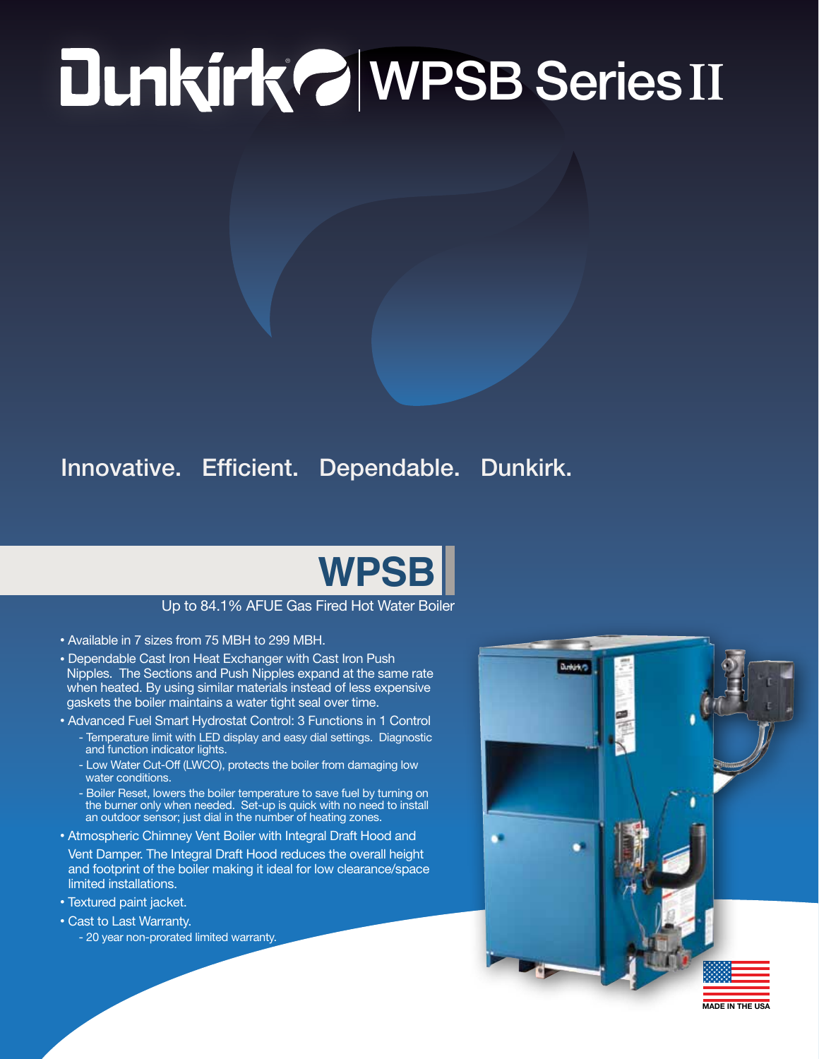# ® WPSB Series **II**

### Innovative. Efficient. Dependable. Dunkirk.

## **WPSB**

#### Up to 84.1% AFUE Gas Fired Hot Water Boiler

- Available in 7 sizes from 75 MBH to 299 MBH.
- Dependable Cast Iron Heat Exchanger with Cast Iron Push Nipples. The Sections and Push Nipples expand at the same rate when heated. By using similar materials instead of less expensive gaskets the boiler maintains a water tight seal over time.
- Advanced Fuel Smart Hydrostat Control: 3 Functions in 1 Control
	- Temperature limit with LED display and easy dial settings. Diagnostic and function indicator lights.
	- Low Water Cut-Off (LWCO), protects the boiler from damaging low water conditions.
	- Boiler Reset, lowers the boiler temperature to save fuel by turning on the burner only when needed. Set-up is quick with no need to install an outdoor sensor; just dial in the number of heating zones.
- Atmospheric Chimney Vent Boiler with Integral Draft Hood and
- Vent Damper. The Integral Draft Hood reduces the overall height and footprint of the boiler making it ideal for low clearance/space limited installations.
- Textured paint jacket.
- Cast to Last Warranty.
	- 20 year non-prorated limited warranty.